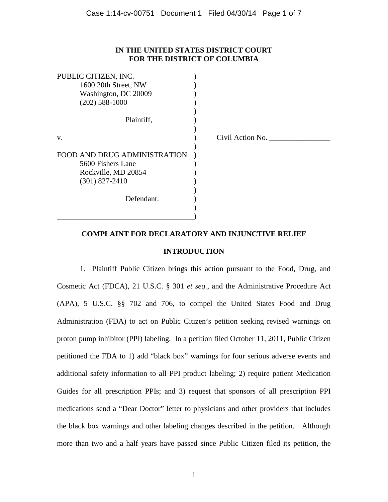## **IN THE UNITED STATES DISTRICT COURT FOR THE DISTRICT OF COLUMBIA**

| PUBLIC CITIZEN, INC.         |                  |
|------------------------------|------------------|
| 1600 20th Street, NW         |                  |
| Washington, DC 20009         |                  |
| $(202)$ 588-1000             |                  |
|                              |                  |
| Plaintiff,                   |                  |
|                              |                  |
| V.                           | Civil Action No. |
|                              |                  |
| FOOD AND DRUG ADMINISTRATION |                  |
| 5600 Fishers Lane            |                  |
| Rockville, MD 20854          |                  |
| $(301)$ 827-2410             |                  |
|                              |                  |
| Defendant.                   |                  |
|                              |                  |
|                              |                  |
|                              |                  |

# **COMPLAINT FOR DECLARATORY AND INJUNCTIVE RELIEF**

## **INTRODUCTION**

1. Plaintiff Public Citizen brings this action pursuant to the Food, Drug, and Cosmetic Act (FDCA), 21 U.S.C. § 301 *et seq.*, and the Administrative Procedure Act (APA), 5 U.S.C. §§ 702 and 706, to compel the United States Food and Drug Administration (FDA) to act on Public Citizen's petition seeking revised warnings on proton pump inhibitor (PPI) labeling. In a petition filed October 11, 2011, Public Citizen petitioned the FDA to 1) add "black box" warnings for four serious adverse events and additional safety information to all PPI product labeling; 2) require patient Medication Guides for all prescription PPIs; and 3) request that sponsors of all prescription PPI medications send a "Dear Doctor" letter to physicians and other providers that includes the black box warnings and other labeling changes described in the petition. Although more than two and a half years have passed since Public Citizen filed its petition, the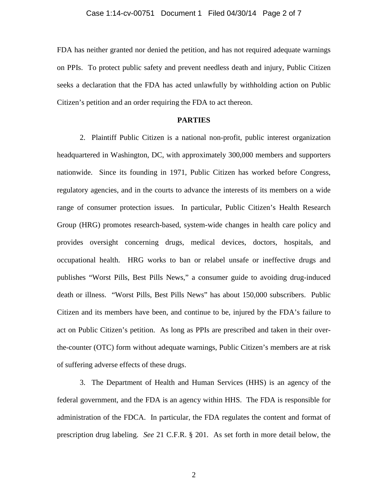FDA has neither granted nor denied the petition, and has not required adequate warnings on PPIs. To protect public safety and prevent needless death and injury, Public Citizen seeks a declaration that the FDA has acted unlawfully by withholding action on Public Citizen's petition and an order requiring the FDA to act thereon.

## **PARTIES**

2. Plaintiff Public Citizen is a national non-profit, public interest organization headquartered in Washington, DC, with approximately 300,000 members and supporters nationwide. Since its founding in 1971, Public Citizen has worked before Congress, regulatory agencies, and in the courts to advance the interests of its members on a wide range of consumer protection issues. In particular, Public Citizen's Health Research Group (HRG) promotes research-based, system-wide changes in health care policy and provides oversight concerning drugs, medical devices, doctors, hospitals, and occupational health. HRG works to ban or relabel unsafe or ineffective drugs and publishes "Worst Pills, Best Pills News," a consumer guide to avoiding drug-induced death or illness. "Worst Pills, Best Pills News" has about 150,000 subscribers. Public Citizen and its members have been, and continue to be, injured by the FDA's failure to act on Public Citizen's petition. As long as PPIs are prescribed and taken in their overthe-counter (OTC) form without adequate warnings, Public Citizen's members are at risk of suffering adverse effects of these drugs.

3. The Department of Health and Human Services (HHS) is an agency of the federal government, and the FDA is an agency within HHS. The FDA is responsible for administration of the FDCA. In particular, the FDA regulates the content and format of prescription drug labeling. *See* 21 C.F.R. § 201. As set forth in more detail below, the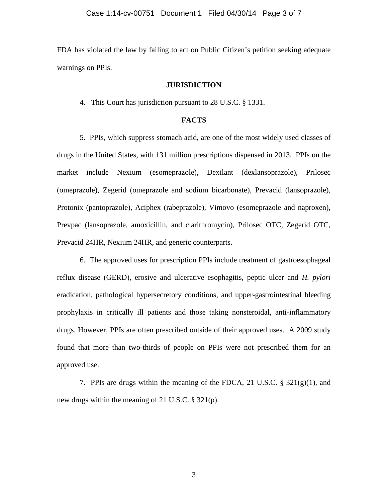FDA has violated the law by failing to act on Public Citizen's petition seeking adequate warnings on PPIs.

### **JURISDICTION**

4. This Court has jurisdiction pursuant to 28 U.S.C. § 1331.

## **FACTS**

5. PPIs, which suppress stomach acid, are one of the most widely used classes of drugs in the United States, with 131 million prescriptions dispensed in 2013. PPIs on the market include Nexium (esomeprazole), Dexilant (dexlansoprazole), Prilosec (omeprazole), Zegerid (omeprazole and sodium bicarbonate), Prevacid (lansoprazole), Protonix (pantoprazole), Aciphex (rabeprazole), Vimovo (esomeprazole and naproxen), Prevpac (lansoprazole, amoxicillin, and clarithromycin), Prilosec OTC, Zegerid OTC, Prevacid 24HR, Nexium 24HR, and generic counterparts.

6. The approved uses for prescription PPIs include treatment of gastroesophageal reflux disease (GERD), erosive and ulcerative esophagitis, peptic ulcer and *H. pylori* eradication, pathological hypersecretory conditions, and upper-gastrointestinal bleeding prophylaxis in critically ill patients and those taking nonsteroidal, anti-inflammatory drugs. However, PPIs are often prescribed outside of their approved uses. A 2009 study found that more than two-thirds of people on PPIs were not prescribed them for an approved use.

7. PPIs are drugs within the meaning of the FDCA, 21 U.S.C.  $\S 321(g)(1)$ , and new drugs within the meaning of 21 U.S.C. § 321(p).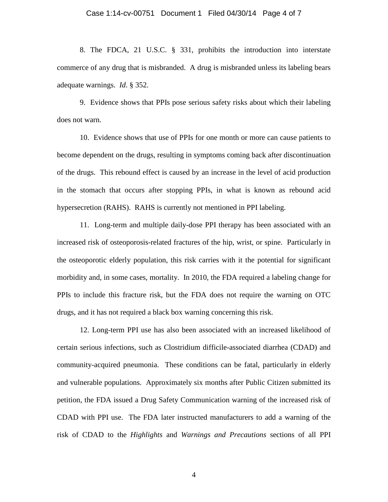#### Case 1:14-cv-00751 Document 1 Filed 04/30/14 Page 4 of 7

8. The FDCA, 21 U.S.C. § 331, prohibits the introduction into interstate commerce of any drug that is misbranded. A drug is misbranded unless its labeling bears adequate warnings. *Id*. § 352.

9. Evidence shows that PPIs pose serious safety risks about which their labeling does not warn.

10. Evidence shows that use of PPIs for one month or more can cause patients to become dependent on the drugs, resulting in symptoms coming back after discontinuation of the drugs. This rebound effect is caused by an increase in the level of acid production in the stomach that occurs after stopping PPIs, in what is known as rebound acid hypersecretion (RAHS). RAHS is currently not mentioned in PPI labeling.

11. Long-term and multiple daily-dose PPI therapy has been associated with an increased risk of osteoporosis-related fractures of the hip, wrist, or spine. Particularly in the osteoporotic elderly population, this risk carries with it the potential for significant morbidity and, in some cases, mortality. In 2010, the FDA required a labeling change for PPIs to include this fracture risk, but the FDA does not require the warning on OTC drugs, and it has not required a black box warning concerning this risk.

12. Long-term PPI use has also been associated with an increased likelihood of certain serious infections, such as Clostridium difficile-associated diarrhea (CDAD) and community-acquired pneumonia. These conditions can be fatal, particularly in elderly and vulnerable populations. Approximately six months after Public Citizen submitted its petition, the FDA issued a Drug Safety Communication warning of the increased risk of CDAD with PPI use. The FDA later instructed manufacturers to add a warning of the risk of CDAD to the *Highlights* and *Warnings and Precautions* sections of all PPI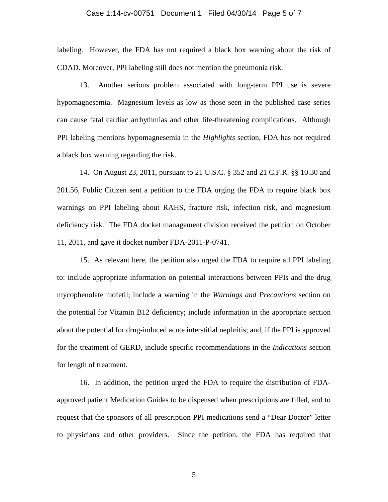### Case 1:14-cv-00751 Document 1 Filed 04/30/14 Page 5 of 7

labeling. However, the FDA has not required a black box warning about the risk of CDAD. Moreover, PPI labeling still does not mention the pneumonia risk.

13. Another serious problem associated with long-term PPI use is severe hypomagnesemia. Magnesium levels as low as those seen in the published case series can cause fatal cardiac arrhythmias and other life-threatening complications. Although PPI labeling mentions hypomagnesemia in the *Highlights* section, FDA has not required a black box warning regarding the risk.

14. On August 23, 2011, pursuant to 21 U.S.C. § 352 and 21 C.F.R. §§ 10.30 and 201.56, Public Citizen sent a petition to the FDA urging the FDA to require black box warnings on PPI labeling about RAHS, fracture risk, infection risk, and magnesium deficiency risk. The FDA docket management division received the petition on October 11, 2011, and gave it docket number FDA-2011-P-0741.

15. As relevant here, the petition also urged the FDA to require all PPI labeling to: include appropriate information on potential interactions between PPIs and the drug mycophenolate mofetil; include a warning in the *Warnings and Precautions* section on the potential for Vitamin B12 deficiency; include information in the appropriate section about the potential for drug-induced acute interstitial nephritis; and, if the PPI is approved for the treatment of GERD, include specific recommendations in the *Indications* section for length of treatment.

16. In addition, the petition urged the FDA to require the distribution of FDAapproved patient Medication Guides to be dispensed when prescriptions are filled, and to request that the sponsors of all prescription PPI medications send a "Dear Doctor" letter to physicians and other providers. Since the petition, the FDA has required that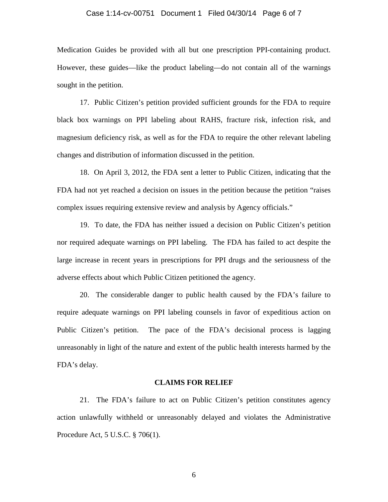#### Case 1:14-cv-00751 Document 1 Filed 04/30/14 Page 6 of 7

Medication Guides be provided with all but one prescription PPI-containing product. However, these guides—like the product labeling—do not contain all of the warnings sought in the petition.

17. Public Citizen's petition provided sufficient grounds for the FDA to require black box warnings on PPI labeling about RAHS, fracture risk, infection risk, and magnesium deficiency risk, as well as for the FDA to require the other relevant labeling changes and distribution of information discussed in the petition.

18. On April 3, 2012, the FDA sent a letter to Public Citizen, indicating that the FDA had not yet reached a decision on issues in the petition because the petition "raises complex issues requiring extensive review and analysis by Agency officials."

19. To date, the FDA has neither issued a decision on Public Citizen's petition nor required adequate warnings on PPI labeling. The FDA has failed to act despite the large increase in recent years in prescriptions for PPI drugs and the seriousness of the adverse effects about which Public Citizen petitioned the agency.

20. The considerable danger to public health caused by the FDA's failure to require adequate warnings on PPI labeling counsels in favor of expeditious action on Public Citizen's petition. The pace of the FDA's decisional process is lagging unreasonably in light of the nature and extent of the public health interests harmed by the FDA's delay.

#### **CLAIMS FOR RELIEF**

21. The FDA's failure to act on Public Citizen's petition constitutes agency action unlawfully withheld or unreasonably delayed and violates the Administrative Procedure Act, 5 U.S.C. § 706(1).